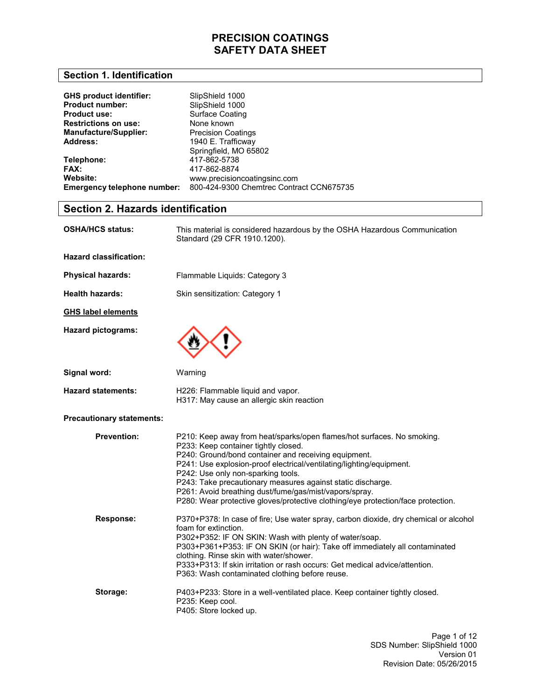#### **Section 1. Identification**

| <b>GHS product identifier:</b>     | SlipShield 1000                          |
|------------------------------------|------------------------------------------|
| <b>Product number:</b>             | SlipShield 1000                          |
| <b>Product use:</b>                | <b>Surface Coating</b>                   |
| <b>Restrictions on use:</b>        | None known                               |
| <b>Manufacture/Supplier:</b>       | <b>Precision Coatings</b>                |
| Address:                           | 1940 E. Trafficway                       |
|                                    | Springfield, MO 65802                    |
| Telephone:                         | 417-862-5738                             |
| <b>FAX:</b>                        | 417-862-8874                             |
| Website:                           | www.precisioncoatingsinc.com             |
| <b>Emergency telephone number:</b> | 800-424-9300 Chemtrec Contract CCN675735 |

### **Section 2. Hazards identification**

| OSHA/HCS status:                 | This material is considered hazardous by the OSHA Hazardous Communication<br>Standard (29 CFR 1910.1200).                                                                                                                                                                                                                                                                                                                                                                                         |
|----------------------------------|---------------------------------------------------------------------------------------------------------------------------------------------------------------------------------------------------------------------------------------------------------------------------------------------------------------------------------------------------------------------------------------------------------------------------------------------------------------------------------------------------|
| <b>Hazard classification:</b>    |                                                                                                                                                                                                                                                                                                                                                                                                                                                                                                   |
| <b>Physical hazards:</b>         | Flammable Liquids: Category 3                                                                                                                                                                                                                                                                                                                                                                                                                                                                     |
| <b>Health hazards:</b>           | Skin sensitization: Category 1                                                                                                                                                                                                                                                                                                                                                                                                                                                                    |
| <b>GHS label elements</b>        |                                                                                                                                                                                                                                                                                                                                                                                                                                                                                                   |
| <b>Hazard pictograms:</b>        |                                                                                                                                                                                                                                                                                                                                                                                                                                                                                                   |
| Signal word:                     | Warning                                                                                                                                                                                                                                                                                                                                                                                                                                                                                           |
| <b>Hazard statements:</b>        | H226: Flammable liquid and vapor.<br>H317: May cause an allergic skin reaction                                                                                                                                                                                                                                                                                                                                                                                                                    |
| <b>Precautionary statements:</b> |                                                                                                                                                                                                                                                                                                                                                                                                                                                                                                   |
| <b>Prevention:</b>               | P210: Keep away from heat/sparks/open flames/hot surfaces. No smoking.<br>P233: Keep container tightly closed.<br>P240: Ground/bond container and receiving equipment.<br>P241: Use explosion-proof electrical/ventilating/lighting/equipment.<br>P242: Use only non-sparking tools.<br>P243: Take precautionary measures against static discharge.<br>P261: Avoid breathing dust/fume/gas/mist/vapors/spray.<br>P280: Wear protective gloves/protective clothing/eye protection/face protection. |
| Response:                        | P370+P378: In case of fire; Use water spray, carbon dioxide, dry chemical or alcohol<br>foam for extinction.<br>P302+P352: IF ON SKIN: Wash with plenty of water/soap.<br>P303+P361+P353: IF ON SKIN (or hair): Take off immediately all contaminated<br>clothing. Rinse skin with water/shower.<br>P333+P313: If skin irritation or rash occurs: Get medical advice/attention.<br>P363: Wash contaminated clothing before reuse.                                                                 |
| Storage:                         | P403+P233: Store in a well-ventilated place. Keep container tightly closed.<br>P235: Keep cool.<br>P405: Store locked up.                                                                                                                                                                                                                                                                                                                                                                         |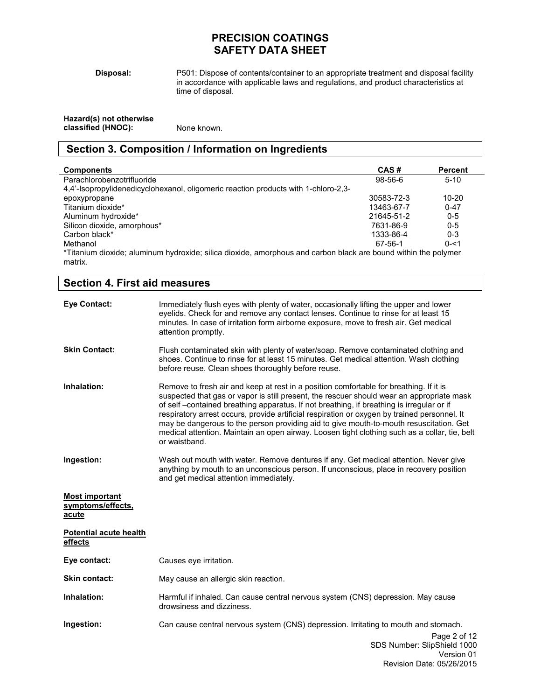**Disposal:** 

P501: Dispose of contents/container to an appropriate treatment and disposal facility in accordance with applicable laws and regulations, and product characteristics at time of disposal.

| Hazard(s) not otherwise |             |
|-------------------------|-------------|
| classified (HNOC):      | None known. |

## **Section 3. Composition / Information on Ingredients**

| <b>Components</b>                                                                                                         | CAS#       | <b>Percent</b> |
|---------------------------------------------------------------------------------------------------------------------------|------------|----------------|
| Parachlorobenzotrifluoride                                                                                                | $98-56-6$  | $5-10$         |
| 4.4'-Isopropylidenedicyclohexanol, oligomeric reaction products with 1-chloro-2.3-                                        |            |                |
| epoxypropane                                                                                                              | 30583-72-3 | 10-20          |
| Titanium dioxide*                                                                                                         | 13463-67-7 | $0 - 47$       |
| Aluminum hydroxide*                                                                                                       | 21645-51-2 | $0 - 5$        |
| Silicon dioxide, amorphous*                                                                                               | 7631-86-9  | $0 - 5$        |
| Carbon black*                                                                                                             | 1333-86-4  | $0 - 3$        |
| Methanol                                                                                                                  | 67-56-1    | $0 - 51$       |
| *Titanium dioxide; aluminum hydroxide; silica dioxide, amorphous and carbon black are bound within the polymer<br>matrix. |            |                |

| <b>Section 4. First aid measures</b>                |                                                                                                                                                                                                                                                                                                                                                                                                                                                                                                                                                                                             |
|-----------------------------------------------------|---------------------------------------------------------------------------------------------------------------------------------------------------------------------------------------------------------------------------------------------------------------------------------------------------------------------------------------------------------------------------------------------------------------------------------------------------------------------------------------------------------------------------------------------------------------------------------------------|
| <b>Eye Contact:</b>                                 | Immediately flush eyes with plenty of water, occasionally lifting the upper and lower<br>eyelids. Check for and remove any contact lenses. Continue to rinse for at least 15<br>minutes. In case of irritation form airborne exposure, move to fresh air. Get medical<br>attention promptly.                                                                                                                                                                                                                                                                                                |
| <b>Skin Contact:</b>                                | Flush contaminated skin with plenty of water/soap. Remove contaminated clothing and<br>shoes. Continue to rinse for at least 15 minutes. Get medical attention. Wash clothing<br>before reuse. Clean shoes thoroughly before reuse.                                                                                                                                                                                                                                                                                                                                                         |
| Inhalation:                                         | Remove to fresh air and keep at rest in a position comfortable for breathing. If it is<br>suspected that gas or vapor is still present, the rescuer should wear an appropriate mask<br>of self-contained breathing apparatus. If not breathing, if breathing is irregular or if<br>respiratory arrest occurs, provide artificial respiration or oxygen by trained personnel. It<br>may be dangerous to the person providing aid to give mouth-to-mouth resuscitation. Get<br>medical attention. Maintain an open airway. Loosen tight clothing such as a collar, tie, belt<br>or waistband. |
| Ingestion:                                          | Wash out mouth with water. Remove dentures if any. Get medical attention. Never give<br>anything by mouth to an unconscious person. If unconscious, place in recovery position<br>and get medical attention immediately.                                                                                                                                                                                                                                                                                                                                                                    |
| <b>Most important</b><br>symptoms/effects,<br>acute |                                                                                                                                                                                                                                                                                                                                                                                                                                                                                                                                                                                             |
| <b>Potential acute health</b><br>effects            |                                                                                                                                                                                                                                                                                                                                                                                                                                                                                                                                                                                             |
| Eye contact:                                        | Causes eye irritation.                                                                                                                                                                                                                                                                                                                                                                                                                                                                                                                                                                      |
| <b>Skin contact:</b>                                | May cause an allergic skin reaction.                                                                                                                                                                                                                                                                                                                                                                                                                                                                                                                                                        |
| Inhalation:                                         | Harmful if inhaled. Can cause central nervous system (CNS) depression. May cause<br>drowsiness and dizziness.                                                                                                                                                                                                                                                                                                                                                                                                                                                                               |
| Ingestion:                                          | Can cause central nervous system (CNS) depression. Irritating to mouth and stomach.<br>Page 2 of 12<br>SDS Number: SlipShield 1000<br>Version 01                                                                                                                                                                                                                                                                                                                                                                                                                                            |

Revision Date: 05/26/2015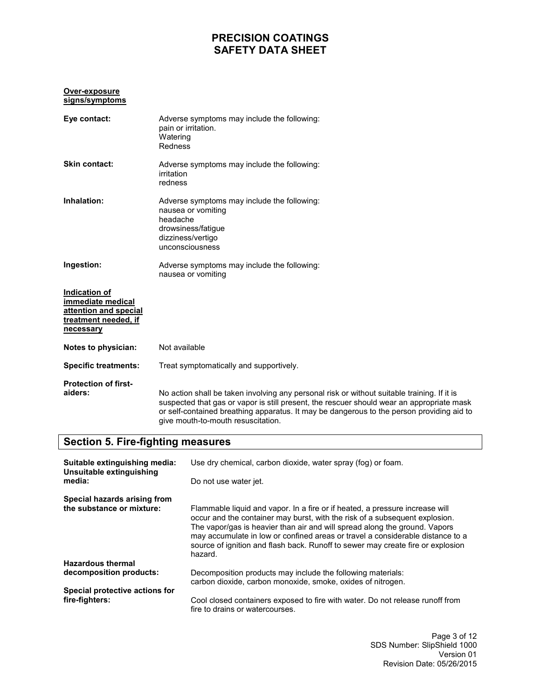#### **Over-exposure signs/symptoms**

| Eye contact:                                                                                     | Adverse symptoms may include the following:<br>pain or irritation.<br>Watering<br>Redness                                                                                                                                                                                                                                   |
|--------------------------------------------------------------------------------------------------|-----------------------------------------------------------------------------------------------------------------------------------------------------------------------------------------------------------------------------------------------------------------------------------------------------------------------------|
| Skin contact:                                                                                    | Adverse symptoms may include the following:<br>irritation<br>redness                                                                                                                                                                                                                                                        |
| Inhalation:                                                                                      | Adverse symptoms may include the following:<br>nausea or vomiting<br>headache<br>drowsiness/fatigue<br>dizziness/vertigo<br>unconsciousness                                                                                                                                                                                 |
| Ingestion:                                                                                       | Adverse symptoms may include the following:<br>nausea or vomiting                                                                                                                                                                                                                                                           |
| Indication of<br>immediate medical<br>attention and special<br>treatment needed, if<br>necessary |                                                                                                                                                                                                                                                                                                                             |
| Notes to physician:                                                                              | Not available                                                                                                                                                                                                                                                                                                               |
| <b>Specific treatments:</b>                                                                      | Treat symptomatically and supportively.                                                                                                                                                                                                                                                                                     |
| <b>Protection of first-</b><br>aiders:                                                           | No action shall be taken involving any personal risk or without suitable training. If it is<br>suspected that gas or vapor is still present, the rescuer should wear an appropriate mask<br>or self-contained breathing apparatus. It may be dangerous to the person providing aid to<br>give mouth-to-mouth resuscitation. |

### **Section 5. Fire-fighting measures**

| Suitable extinguishing media:<br>Unsuitable extinguishing | Use dry chemical, carbon dioxide, water spray (fog) or foam.                                                                                                                                                                                                                                                                                                                                                              |  |
|-----------------------------------------------------------|---------------------------------------------------------------------------------------------------------------------------------------------------------------------------------------------------------------------------------------------------------------------------------------------------------------------------------------------------------------------------------------------------------------------------|--|
| media:                                                    | Do not use water jet.                                                                                                                                                                                                                                                                                                                                                                                                     |  |
| Special hazards arising from<br>the substance or mixture: | Flammable liquid and vapor. In a fire or if heated, a pressure increase will<br>occur and the container may burst, with the risk of a subsequent explosion.<br>The vapor/gas is heavier than air and will spread along the ground. Vapors<br>may accumulate in low or confined areas or travel a considerable distance to a<br>source of ignition and flash back. Runoff to sewer may create fire or explosion<br>hazard. |  |
| <b>Hazardous thermal</b>                                  |                                                                                                                                                                                                                                                                                                                                                                                                                           |  |
| decomposition products:                                   | Decomposition products may include the following materials:<br>carbon dioxide, carbon monoxide, smoke, oxides of nitrogen.                                                                                                                                                                                                                                                                                                |  |
| Special protective actions for                            |                                                                                                                                                                                                                                                                                                                                                                                                                           |  |
| fire-fighters:                                            | Cool closed containers exposed to fire with water. Do not release runoff from<br>fire to drains or watercourses.                                                                                                                                                                                                                                                                                                          |  |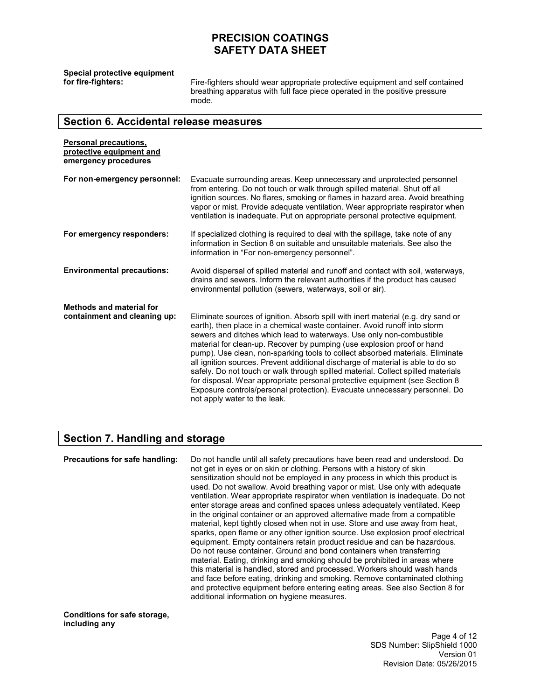**Special protective equipment** 

Fire-fighters should wear appropriate protective equipment and self contained breathing apparatus with full face piece operated in the positive pressure mode.

#### **Section 6. Accidental release measures**

| <b>Personal precautions,</b><br>protective equipment and<br>emergency procedures |                                                                                                                                                                                                                                                                                                                                                                                                                                                                                                                                                                                                                                                                                                                                                                       |
|----------------------------------------------------------------------------------|-----------------------------------------------------------------------------------------------------------------------------------------------------------------------------------------------------------------------------------------------------------------------------------------------------------------------------------------------------------------------------------------------------------------------------------------------------------------------------------------------------------------------------------------------------------------------------------------------------------------------------------------------------------------------------------------------------------------------------------------------------------------------|
| For non-emergency personnel:                                                     | Evacuate surrounding areas. Keep unnecessary and unprotected personnel<br>from entering. Do not touch or walk through spilled material. Shut off all<br>ignition sources. No flares, smoking or flames in hazard area. Avoid breathing<br>vapor or mist. Provide adequate ventilation. Wear appropriate respirator when<br>ventilation is inadequate. Put on appropriate personal protective equipment.                                                                                                                                                                                                                                                                                                                                                               |
| For emergency responders:                                                        | If specialized clothing is required to deal with the spillage, take note of any<br>information in Section 8 on suitable and unsuitable materials. See also the<br>information in "For non-emergency personnel".                                                                                                                                                                                                                                                                                                                                                                                                                                                                                                                                                       |
| <b>Environmental precautions:</b>                                                | Avoid dispersal of spilled material and runoff and contact with soil, waterways,<br>drains and sewers. Inform the relevant authorities if the product has caused<br>environmental pollution (sewers, waterways, soil or air).                                                                                                                                                                                                                                                                                                                                                                                                                                                                                                                                         |
| Methods and material for<br>containment and cleaning up:                         | Eliminate sources of ignition. Absorb spill with inert material (e.g. dry sand or<br>earth), then place in a chemical waste container. Avoid runoff into storm<br>sewers and ditches which lead to waterways. Use only non-combustible<br>material for clean-up. Recover by pumping (use explosion proof or hand<br>pump). Use clean, non-sparking tools to collect absorbed materials. Eliminate<br>all ignition sources. Prevent additional discharge of material is able to do so<br>safely. Do not touch or walk through spilled material. Collect spilled materials<br>for disposal. Wear appropriate personal protective equipment (see Section 8<br>Exposure controls/personal protection). Evacuate unnecessary personnel. Do<br>not apply water to the leak. |

#### **Section 7. Handling and storage**

**Precautions for safe handling:** Do not handle until all safety precautions have been read and understood. Do not get in eyes or on skin or clothing. Persons with a history of skin sensitization should not be employed in any process in which this product is used. Do not swallow. Avoid breathing vapor or mist. Use only with adequate ventilation. Wear appropriate respirator when ventilation is inadequate. Do not enter storage areas and confined spaces unless adequately ventilated. Keep in the original container or an approved alternative made from a compatible material, kept tightly closed when not in use. Store and use away from heat, sparks, open flame or any other ignition source. Use explosion proof electrical equipment. Empty containers retain product residue and can be hazardous. Do not reuse container. Ground and bond containers when transferring material. Eating, drinking and smoking should be prohibited in areas where this material is handled, stored and processed. Workers should wash hands and face before eating, drinking and smoking. Remove contaminated clothing and protective equipment before entering eating areas. See also Section 8 for additional information on hygiene measures.

**Conditions for safe storage, including any** 

> Page 4 of 12 SDS Number: SlipShield 1000 Version 01 Revision Date: 05/26/2015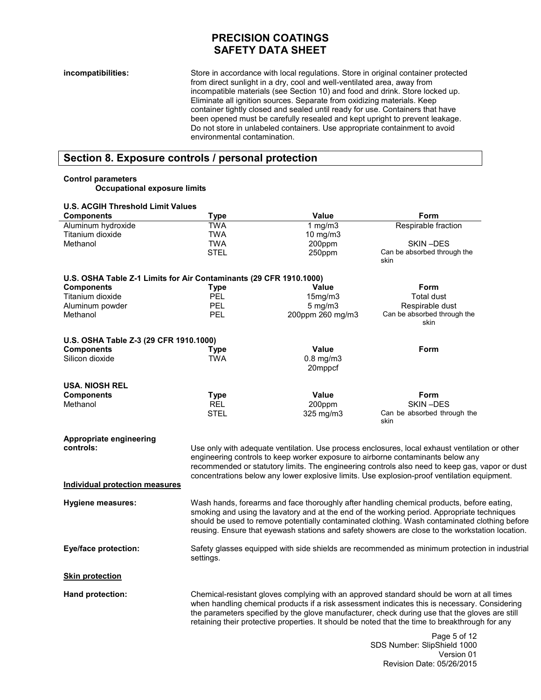**incompatibilities:** Store in accordance with local regulations. Store in original container protected from direct sunlight in a dry, cool and well-ventilated area, away from incompatible materials (see Section 10) and food and drink. Store locked up. Eliminate all ignition sources. Separate from oxidizing materials. Keep container tightly closed and sealed until ready for use. Containers that have been opened must be carefully resealed and kept upright to prevent leakage. Do not store in unlabeled containers. Use appropriate containment to avoid environmental contamination.

## **Section 8. Exposure controls / personal protection**

#### **Control parameters**

**Occupational exposure limits** 

| <b>U.S. ACGIH Threshold Limit Values</b>                           |                                                                                                                                                                                                                                                                                                                                                                                                 |                           |                                                                                                                                                                                               |
|--------------------------------------------------------------------|-------------------------------------------------------------------------------------------------------------------------------------------------------------------------------------------------------------------------------------------------------------------------------------------------------------------------------------------------------------------------------------------------|---------------------------|-----------------------------------------------------------------------------------------------------------------------------------------------------------------------------------------------|
| <b>Components</b>                                                  | <b>Type</b>                                                                                                                                                                                                                                                                                                                                                                                     | Value                     | Form                                                                                                                                                                                          |
| Aluminum hydroxide                                                 | <b>TWA</b>                                                                                                                                                                                                                                                                                                                                                                                      | 1 $mg/m3$                 | Respirable fraction                                                                                                                                                                           |
| Titanium dioxide                                                   | <b>TWA</b>                                                                                                                                                                                                                                                                                                                                                                                      | 10 mg/m $3$               |                                                                                                                                                                                               |
| Methanol                                                           | <b>TWA</b>                                                                                                                                                                                                                                                                                                                                                                                      | 200ppm                    | SKIN-DES                                                                                                                                                                                      |
|                                                                    | <b>STEL</b>                                                                                                                                                                                                                                                                                                                                                                                     | 250ppm                    | Can be absorbed through the<br>skin                                                                                                                                                           |
| U.S. OSHA Table Z-1 Limits for Air Contaminants (29 CFR 1910.1000) |                                                                                                                                                                                                                                                                                                                                                                                                 |                           |                                                                                                                                                                                               |
| <b>Components</b>                                                  | Type                                                                                                                                                                                                                                                                                                                                                                                            | <b>Value</b>              | <b>Form</b>                                                                                                                                                                                   |
| Titanium dioxide                                                   | <b>PEL</b>                                                                                                                                                                                                                                                                                                                                                                                      | 15mg/m3                   | <b>Total dust</b>                                                                                                                                                                             |
| Aluminum powder                                                    | PEL                                                                                                                                                                                                                                                                                                                                                                                             | $5$ mg/m $3$              | Respirable dust                                                                                                                                                                               |
| Methanol                                                           | <b>PEL</b>                                                                                                                                                                                                                                                                                                                                                                                      | 200ppm 260 mg/m3          | Can be absorbed through the<br>skin                                                                                                                                                           |
| U.S. OSHA Table Z-3 (29 CFR 1910.1000)                             |                                                                                                                                                                                                                                                                                                                                                                                                 |                           |                                                                                                                                                                                               |
| <b>Components</b>                                                  | <b>Type</b>                                                                                                                                                                                                                                                                                                                                                                                     | Value                     | Form                                                                                                                                                                                          |
| Silicon dioxide                                                    | <b>TWA</b>                                                                                                                                                                                                                                                                                                                                                                                      | $0.8$ mg/m $3$<br>20mppcf |                                                                                                                                                                                               |
| <b>USA. NIOSH REL</b>                                              |                                                                                                                                                                                                                                                                                                                                                                                                 |                           |                                                                                                                                                                                               |
| <b>Components</b>                                                  | Type                                                                                                                                                                                                                                                                                                                                                                                            | Value                     | Form                                                                                                                                                                                          |
| Methanol                                                           | <b>REL</b>                                                                                                                                                                                                                                                                                                                                                                                      | 200ppm                    | SKIN-DES                                                                                                                                                                                      |
|                                                                    | <b>STEL</b>                                                                                                                                                                                                                                                                                                                                                                                     | 325 mg/m3                 | Can be absorbed through the<br>skin                                                                                                                                                           |
| Appropriate engineering<br>controls:                               |                                                                                                                                                                                                                                                                                                                                                                                                 |                           |                                                                                                                                                                                               |
|                                                                    |                                                                                                                                                                                                                                                                                                                                                                                                 |                           | Use only with adequate ventilation. Use process enclosures, local exhaust ventilation or other<br>engineering controls to keep worker exposure to airborne contaminants below any             |
|                                                                    |                                                                                                                                                                                                                                                                                                                                                                                                 |                           | recommended or statutory limits. The engineering controls also need to keep gas, vapor or dust<br>concentrations below any lower explosive limits. Use explosion-proof ventilation equipment. |
| Individual protection measures                                     |                                                                                                                                                                                                                                                                                                                                                                                                 |                           |                                                                                                                                                                                               |
| <b>Hygiene measures:</b>                                           | Wash hands, forearms and face thoroughly after handling chemical products, before eating,<br>smoking and using the lavatory and at the end of the working period. Appropriate techniques<br>should be used to remove potentially contaminated clothing. Wash contaminated clothing before<br>reusing. Ensure that eyewash stations and safety showers are close to the workstation location.    |                           |                                                                                                                                                                                               |
| <b>Eye/face protection:</b>                                        | Safety glasses equipped with side shields are recommended as minimum protection in industrial<br>settings.                                                                                                                                                                                                                                                                                      |                           |                                                                                                                                                                                               |
| <b>Skin protection</b>                                             |                                                                                                                                                                                                                                                                                                                                                                                                 |                           |                                                                                                                                                                                               |
| Hand protection:                                                   | Chemical-resistant gloves complying with an approved standard should be worn at all times<br>when handling chemical products if a risk assessment indicates this is necessary. Considering<br>the parameters specified by the glove manufacturer, check during use that the gloves are still<br>retaining their protective properties. It should be noted that the time to breakthrough for any |                           |                                                                                                                                                                                               |
|                                                                    |                                                                                                                                                                                                                                                                                                                                                                                                 |                           | Page 5 of 12<br>SDS Number: SlipShield 1000                                                                                                                                                   |

Version 01

Revision Date: 05/26/2015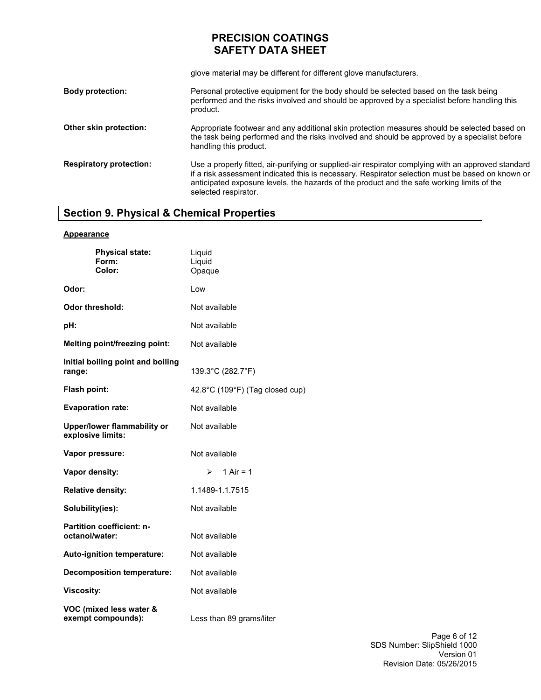glove material may be different for different glove manufacturers.

| <b>Body protection:</b>        | Personal protective equipment for the body should be selected based on the task being<br>performed and the risks involved and should be approved by a specialist before handling this<br>product.                                                                                                                             |
|--------------------------------|-------------------------------------------------------------------------------------------------------------------------------------------------------------------------------------------------------------------------------------------------------------------------------------------------------------------------------|
| Other skin protection:         | Appropriate footwear and any additional skin protection measures should be selected based on<br>the task being performed and the risks involved and should be approved by a specialist before<br>handling this product.                                                                                                       |
| <b>Respiratory protection:</b> | Use a properly fitted, air-purifying or supplied-air respirator complying with an approved standard<br>if a risk assessment indicated this is necessary. Respirator selection must be based on known or<br>anticipated exposure levels, the hazards of the product and the safe working limits of the<br>selected respirator. |

# **Section 9. Physical & Chemical Properties**

#### **Appearance**

| <b>Physical state:</b><br>Form:<br>Color:          | Liquid<br>Liquid<br>Opaque      |
|----------------------------------------------------|---------------------------------|
| Odor:                                              | Low                             |
| Odor threshold:                                    | Not available                   |
| pH:                                                | Not available                   |
| Melting point/freezing point:                      | Not available                   |
| Initial boiling point and boiling<br>range:        | 139.3°C (282.7°F)               |
| Flash point:                                       | 42.8°C (109°F) (Tag closed cup) |
| <b>Evaporation rate:</b>                           | Not available                   |
| Upper/lower flammability or<br>explosive limits:   | Not available                   |
| Vapor pressure:                                    | Not available                   |
| Vapor density:                                     | 1 Air = $1$<br>$\triangleright$ |
| <b>Relative density:</b>                           | 1.1489-1.1.7515                 |
| Solubility(ies):                                   | Not available                   |
| <b>Partition coefficient: n-</b><br>octanol/water: | Not available                   |
| Auto-ignition temperature:                         | Not available                   |
| <b>Decomposition temperature:</b>                  | Not available                   |
| <b>Viscosity:</b>                                  | Not available                   |
| VOC (mixed less water &<br>exempt compounds):      | Less than 89 grams/liter        |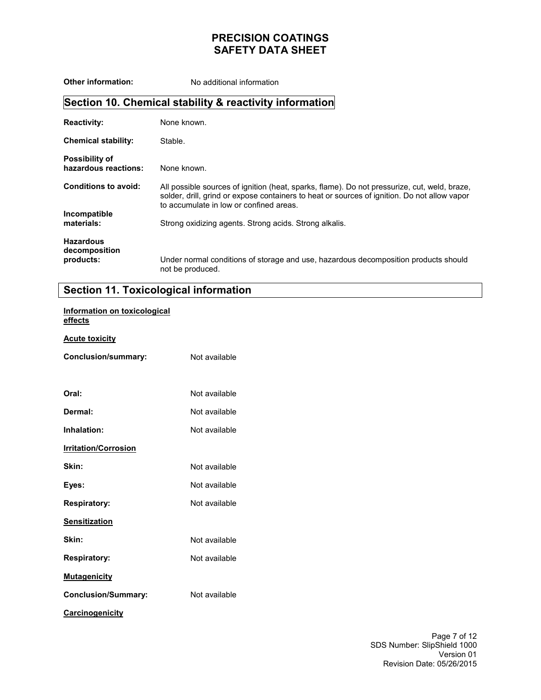**Other information:** No additional information **Section 10. Chemical stability & reactivity information Reactivity: Chemical stability: Possibility of hazardous reactions: Conditions to avoid: Incompatible materials: Hazardous decomposition products:**  None known. Stable. None known. All possible sources of ignition (heat, sparks, flame). Do not pressurize, cut, weld, braze, solder, drill, grind or expose containers to heat or sources of ignition. Do not allow vapor to accumulate in low or confined areas. Strong oxidizing agents. Strong acids. Strong alkalis. Under normal conditions of storage and use, hazardous decomposition products should not be produced.

#### **Section 11. Toxicological information**

#### **Information on toxicological effects**

#### **Acute toxicity**

| Conclusion/summary:         | Not available |
|-----------------------------|---------------|
| Oral:                       | Not available |
| Dermal:                     | Not available |
| Inhalation:                 | Not available |
| <b>Irritation/Corrosion</b> |               |
| Skin:                       | Not available |
| Eyes:                       | Not available |
| <b>Respiratory:</b>         | Not available |
| <b>Sensitization</b>        |               |
| Skin:                       | Not available |
| <b>Respiratory:</b>         | Not available |
| <b>Mutagenicity</b>         |               |
| <b>Conclusion/Summary:</b>  | Not available |
| <b>Carcinogenicity</b>      |               |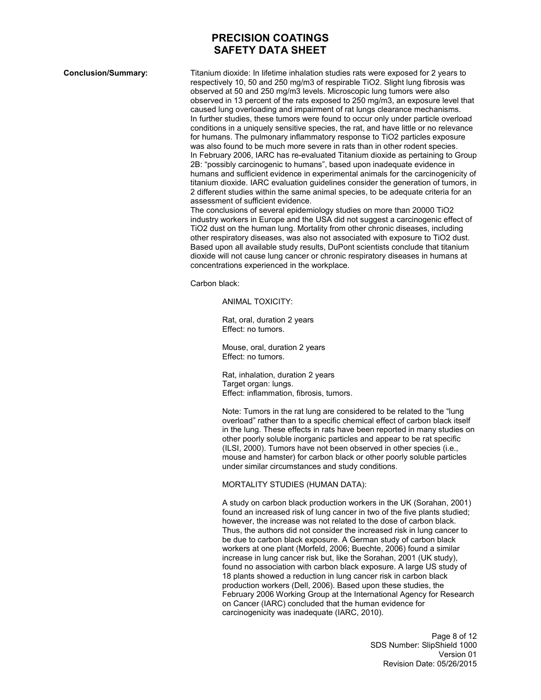**Conclusion/Summary:** Titanium dioxide: In lifetime inhalation studies rats were exposed for 2 years to respectively 10, 50 and 250 mg/m3 of respirable TiO2. Slight lung fibrosis was observed at 50 and 250 mg/m3 levels. Microscopic lung tumors were also observed in 13 percent of the rats exposed to 250 mg/m3, an exposure level that caused lung overloading and impairment of rat lungs clearance mechanisms. In further studies, these tumors were found to occur only under particle overload conditions in a uniquely sensitive species, the rat, and have little or no relevance for humans. The pulmonary inflammatory response to TiO2 particles exposure was also found to be much more severe in rats than in other rodent species. In February 2006, IARC has re-evaluated Titanium dioxide as pertaining to Group 2B: "possibly carcinogenic to humans", based upon inadequate evidence in humans and sufficient evidence in experimental animals for the carcinogenicity of titanium dioxide. IARC evaluation guidelines consider the generation of tumors, in 2 different studies within the same animal species, to be adequate criteria for an assessment of sufficient evidence.

The conclusions of several epidemiology studies on more than 20000 TiO2 industry workers in Europe and the USA did not suggest a carcinogenic effect of TiO2 dust on the human lung. Mortality from other chronic diseases, including other respiratory diseases, was also not associated with exposure to TiO2 dust. Based upon all available study results, DuPont scientists conclude that titanium dioxide will not cause lung cancer or chronic respiratory diseases in humans at concentrations experienced in the workplace.

Carbon black:

ANIMAL TOXICITY:

Rat, oral, duration 2 years Effect: no tumors.

Mouse, oral, duration 2 years Effect: no tumors.

Rat, inhalation, duration 2 years Target organ: lungs. Effect: inflammation, fibrosis, tumors.

Note: Tumors in the rat lung are considered to be related to the "lung overload" rather than to a specific chemical effect of carbon black itself in the lung. These effects in rats have been reported in many studies on other poorly soluble inorganic particles and appear to be rat specific (ILSI, 2000). Tumors have not been observed in other species (i.e., mouse and hamster) for carbon black or other poorly soluble particles under similar circumstances and study conditions.

#### MORTALITY STUDIES (HUMAN DATA):

A study on carbon black production workers in the UK (Sorahan, 2001) found an increased risk of lung cancer in two of the five plants studied; however, the increase was not related to the dose of carbon black. Thus, the authors did not consider the increased risk in lung cancer to be due to carbon black exposure. A German study of carbon black workers at one plant (Morfeld, 2006; Buechte, 2006) found a similar increase in lung cancer risk but, like the Sorahan, 2001 (UK study), found no association with carbon black exposure. A large US study of 18 plants showed a reduction in lung cancer risk in carbon black production workers (Dell, 2006). Based upon these studies, the February 2006 Working Group at the International Agency for Research on Cancer (IARC) concluded that the human evidence for carcinogenicity was inadequate (IARC, 2010).

> Page 8 of 12 SDS Number: SlipShield 1000 Version 01 Revision Date: 05/26/2015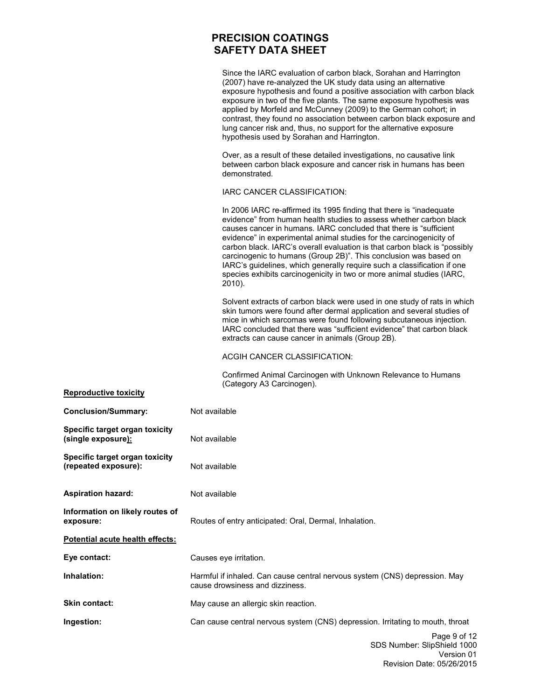Since the IARC evaluation of carbon black, Sorahan and Harrington (2007) have re-analyzed the UK study data using an alternative exposure hypothesis and found a positive association with carbon black exposure in two of the five plants. The same exposure hypothesis was applied by Morfeld and McCunney (2009) to the German cohort; in contrast, they found no association between carbon black exposure and lung cancer risk and, thus, no support for the alternative exposure hypothesis used by Sorahan and Harrington.

Over, as a result of these detailed investigations, no causative link between carbon black exposure and cancer risk in humans has been demonstrated.

#### IARC CANCER CLASSIFICATION:

In 2006 IARC re-affirmed its 1995 finding that there is "inadequate evidence" from human health studies to assess whether carbon black causes cancer in humans. IARC concluded that there is "sufficient evidence" in experimental animal studies for the carcinogenicity of carbon black. IARC's overall evaluation is that carbon black is "possibly carcinogenic to humans (Group 2B)". This conclusion was based on IARC's guidelines, which generally require such a classification if one species exhibits carcinogenicity in two or more animal studies (IARC, 2010).

Solvent extracts of carbon black were used in one study of rats in which skin tumors were found after dermal application and several studies of mice in which sarcomas were found following subcutaneous injection. IARC concluded that there was "sufficient evidence" that carbon black extracts can cause cancer in animals (Group 2B).

#### ACGIH CANCER CLASSIFICATION:

Confirmed Animal Carcinogen with Unknown Relevance to Humans (Category A3 Carcinogen).

| <b>Reproductive toxicity</b>                           |                                                                                                               |
|--------------------------------------------------------|---------------------------------------------------------------------------------------------------------------|
| <b>Conclusion/Summary:</b>                             | Not available                                                                                                 |
| Specific target organ toxicity<br>(single exposure):   | Not available                                                                                                 |
| Specific target organ toxicity<br>(repeated exposure): | Not available                                                                                                 |
| <b>Aspiration hazard:</b>                              | Not available                                                                                                 |
| Information on likely routes of<br>exposure:           | Routes of entry anticipated: Oral, Dermal, Inhalation.                                                        |
| Potential acute health effects:                        |                                                                                                               |
| Eye contact:                                           | Causes eye irritation.                                                                                        |
| Inhalation:                                            | Harmful if inhaled. Can cause central nervous system (CNS) depression. May<br>cause drowsiness and dizziness. |
| Skin contact:                                          | May cause an allergic skin reaction.                                                                          |
| Ingestion:                                             | Can cause central nervous system (CNS) depression. Irritating to mouth, throat                                |
|                                                        | Page 9 of 12<br>SDS Number: SlipShield 1000<br>$\frac{1}{2}$                                                  |

# Version 01 Revision Date: 05/26/2015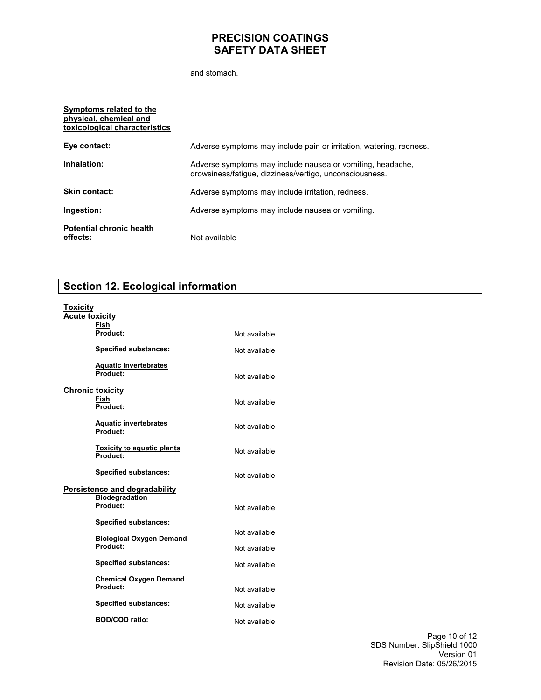and stomach.

| Symptoms related to the<br>physical, chemical and<br>toxicological characteristics |                                                                                                                       |
|------------------------------------------------------------------------------------|-----------------------------------------------------------------------------------------------------------------------|
| Eye contact:                                                                       | Adverse symptoms may include pain or irritation, watering, redness.                                                   |
| Inhalation:                                                                        | Adverse symptoms may include nausea or vomiting, headache,<br>drowsiness/fatigue, dizziness/vertigo, unconsciousness. |
| <b>Skin contact:</b>                                                               | Adverse symptoms may include irritation, redness.                                                                     |
| Ingestion:                                                                         | Adverse symptoms may include nausea or vomiting.                                                                      |
| <b>Potential chronic health</b><br>effects:                                        | Not available                                                                                                         |

# **Section 12. Ecological information**

| Toxicity                |                                               |               |
|-------------------------|-----------------------------------------------|---------------|
| <b>Acute toxicity</b>   |                                               |               |
|                         | <b>Fish</b><br>Product:                       | Not available |
|                         | <b>Specified substances:</b>                  | Not available |
|                         | <b>Aquatic invertebrates</b><br>Product:      | Not available |
| <b>Chronic toxicity</b> | Fish<br>Product:                              | Not available |
|                         | <b>Aquatic invertebrates</b><br>Product:      | Not available |
|                         | <b>Toxicity to aquatic plants</b><br>Product: | Not available |
|                         | <b>Specified substances:</b>                  | Not available |
|                         | <b>Persistence and degradability</b>          |               |
|                         | <b>Biodegradation</b><br>Product:             | Not available |
|                         | <b>Specified substances:</b>                  |               |
|                         | <b>Biological Oxygen Demand</b>               | Not available |
|                         | Product:                                      | Not available |
|                         | <b>Specified substances:</b>                  | Not available |
|                         | <b>Chemical Oxygen Demand</b><br>Product:     | Not available |
|                         | <b>Specified substances:</b>                  | Not available |
|                         | <b>BOD/COD ratio:</b>                         | Not available |

Page 10 of 12 SDS Number: SlipShield 1000 Version 01 Revision Date: 05/26/2015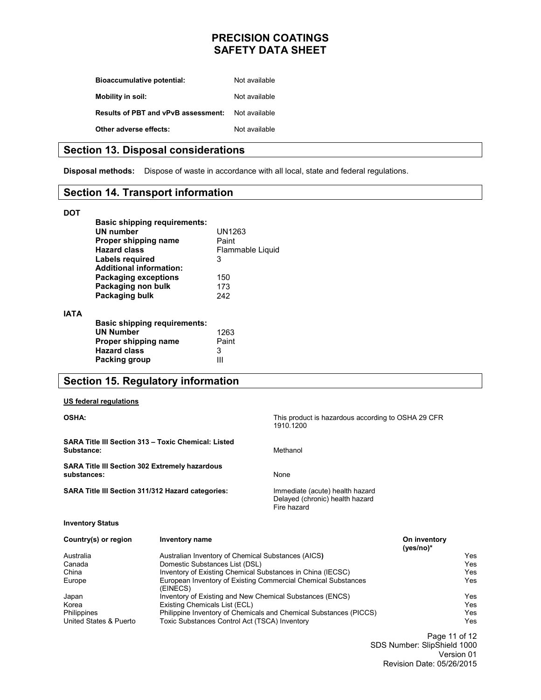| <b>Bioaccumulative potential:</b>          | Not available |
|--------------------------------------------|---------------|
| Mobility in soil:                          | Not available |
| <b>Results of PBT and vPvB assessment:</b> | Not available |
| Other adverse effects:                     | Not available |

#### **Section 13. Disposal considerations**

**Disposal methods:** Dispose of waste in accordance with all local, state and federal regulations.

### **Section 14. Transport information**

#### **DOT**

**IATA** 

| <b>Basic shipping requirements:</b><br>UN number<br>Proper shipping name<br>Hazard class<br>Labels required                    | UN1263<br>Paint<br>Flammable Liquid<br>3 |
|--------------------------------------------------------------------------------------------------------------------------------|------------------------------------------|
| <b>Additional information:</b><br><b>Packaging exceptions</b><br>Packaging non bulk<br>Packaging bulk                          | 150<br>173<br>242                        |
| <b>Basic shipping requirements:</b><br><b>UN Number</b><br>Proper shipping name<br><b>Hazard class</b><br><b>Packing group</b> | 1263<br>Paint<br>3                       |

## **Section 15. Regulatory information**

#### **US federal regulations**

| <b>OSHA:</b>                                                         |                                                                           | This product is hazardous according to OSHA 29 CFR<br>1910.1200                   |                             |     |
|----------------------------------------------------------------------|---------------------------------------------------------------------------|-----------------------------------------------------------------------------------|-----------------------------|-----|
| Substance:                                                           | SARA Title III Section 313 - Toxic Chemical: Listed                       | Methanol                                                                          |                             |     |
| <b>SARA Title III Section 302 Extremely hazardous</b><br>substances: |                                                                           | None                                                                              |                             |     |
| <b>SARA Title III Section 311/312 Hazard categories:</b>             |                                                                           | Immediate (acute) health hazard<br>Delayed (chronic) health hazard<br>Fire hazard |                             |     |
| <b>Inventory Status</b>                                              |                                                                           |                                                                                   |                             |     |
| Country(s) or region                                                 | <b>Inventory name</b>                                                     |                                                                                   | On inventory<br>$(yes/no)*$ |     |
| Australia                                                            | Australian Inventory of Chemical Substances (AICS)                        |                                                                                   |                             | Yes |
| Canada                                                               | Domestic Substances List (DSL)                                            |                                                                                   |                             | Yes |
| China                                                                | Inventory of Existing Chemical Substances in China (IECSC)                |                                                                                   | Yes                         |     |
| Europe                                                               | European Inventory of Existing Commercial Chemical Substances<br>(EINECS) |                                                                                   |                             | Yes |
| Japan                                                                | Inventory of Existing and New Chemical Substances (ENCS)                  |                                                                                   |                             | Yes |
| Korea                                                                | Existing Chemicals List (ECL)                                             |                                                                                   |                             | Yes |
| <b>Philippines</b>                                                   |                                                                           | Philippine Inventory of Chemicals and Chemical Substances (PICCS)                 |                             | Yes |
| United States & Puerto                                               | Toxic Substances Control Act (TSCA) Inventory                             |                                                                                   |                             | Yes |

Page 11 of 12 SDS Number: SlipShield 1000 Version 01 Revision Date: 05/26/2015